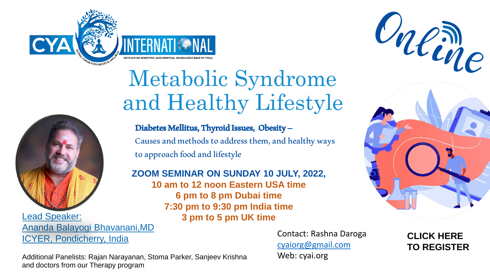

## Metabolic Syndrome and Healthy Lifestyle



Lead Speaker: **3 pm to 5 pm UK time**  Ananda Balayogi Bhavanani,MD ICYER, Pondicherry, India

Diabetes Mellitus, Thyroid Issues, Obesity – Causes and methods to address them, and healthy ways to approach food and lifestyle

**ZOOM SEMINAR ON SUNDAY 10 JULY, 2022, 10 am to 12 noon Eastern USA time 6 pm to 8 pm Dubai time**

**7:30 pm to 9:30 pm India time**







**CLICK HERE [TO REGISTER](https://us02web.zoom.us/webinar/register/WN_43ruu7gOQKeMN-dQiymtKw)**

Additional Panelists: Rajan Narayanan, Stoma Parker, Sanjeev Krishna and doctors from our Therapy program